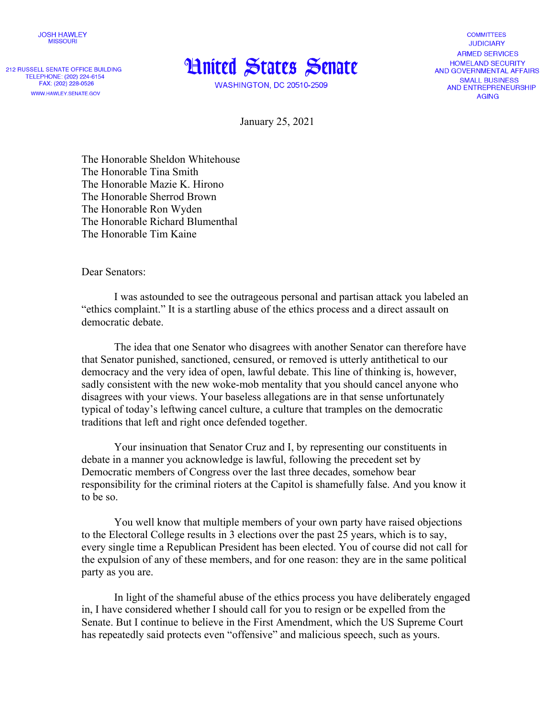

212 RUSSELL SENATE OFFICE BUILDING TELEPHONE: (202) 224-6154 FAX: (202) 228-0526 WWW.HAWLEY.SENATE.GOV



**WASHINGTON, DC 20510-2509** 

**COMMITTEES JUDICIARY ARMED SERVICES HOMELAND SECURITY** AND GOVERNMENTAL AFFAIRS **SMALL BUSINESS** AND ENTREPRENEURSHIP **AGING** 

January 25, 2021

The Honorable Sheldon Whitehouse The Honorable Tina Smith The Honorable Mazie K. Hirono The Honorable Sherrod Brown The Honorable Ron Wyden The Honorable Richard Blumenthal The Honorable Tim Kaine

Dear Senators:

I was astounded to see the outrageous personal and partisan attack you labeled an "ethics complaint." It is a startling abuse of the ethics process and a direct assault on democratic debate.

The idea that one Senator who disagrees with another Senator can therefore have that Senator punished, sanctioned, censured, or removed is utterly antithetical to our democracy and the very idea of open, lawful debate. This line of thinking is, however, sadly consistent with the new woke-mob mentality that you should cancel anyone who disagrees with your views. Your baseless allegations are in that sense unfortunately typical of today's leftwing cancel culture, a culture that tramples on the democratic traditions that left and right once defended together.

Your insinuation that Senator Cruz and I, by representing our constituents in debate in a manner you acknowledge is lawful, following the precedent set by Democratic members of Congress over the last three decades, somehow bear responsibility for the criminal rioters at the Capitol is shamefully false. And you know it to be so.

You well know that multiple members of your own party have raised objections to the Electoral College results in 3 elections over the past 25 years, which is to say, every single time a Republican President has been elected. You of course did not call for the expulsion of any of these members, and for one reason: they are in the same political party as you are.

In light of the shameful abuse of the ethics process you have deliberately engaged in, I have considered whether I should call for you to resign or be expelled from the Senate. But I continue to believe in the First Amendment, which the US Supreme Court has repeatedly said protects even "offensive" and malicious speech, such as yours.